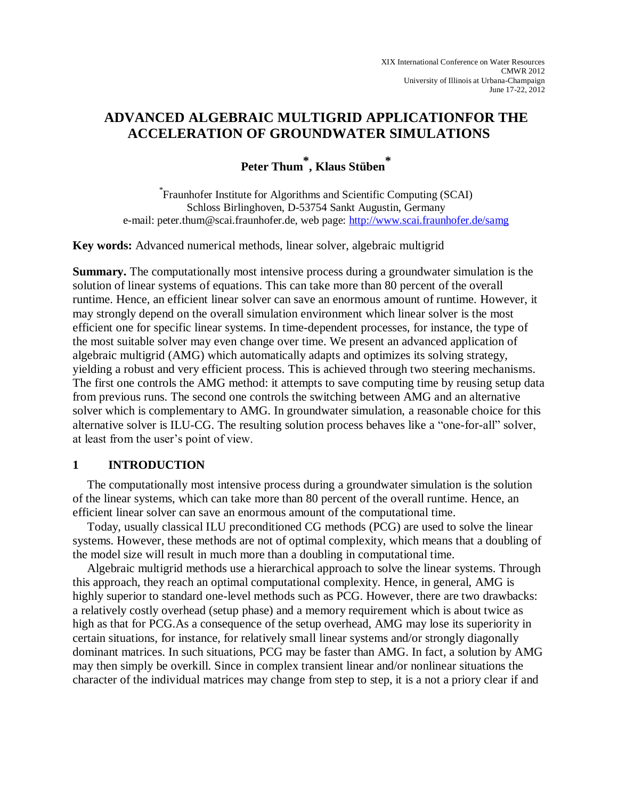## **ADVANCED ALGEBRAIC MULTIGRID APPLICATIONFOR THE ACCELERATION OF GROUNDWATER SIMULATIONS**

# **Peter Thum \* , Klaus Stüben \***

\* Fraunhofer Institute for Algorithms and Scientific Computing (SCAI) Schloss Birlinghoven, D-53754 Sankt Augustin, Germany e-mail: peter.thum@scai.fraunhofer.de, web page: <http://www.scai.fraunhofer.de/samg>

**Key words:** Advanced numerical methods, linear solver, algebraic multigrid

**Summary.** The computationally most intensive process during a groundwater simulation is the solution of linear systems of equations. This can take more than 80 percent of the overall runtime. Hence, an efficient linear solver can save an enormous amount of runtime. However, it may strongly depend on the overall simulation environment which linear solver is the most efficient one for specific linear systems. In time-dependent processes, for instance, the type of the most suitable solver may even change over time. We present an advanced application of algebraic multigrid (AMG) which automatically adapts and optimizes its solving strategy, yielding a robust and very efficient process. This is achieved through two steering mechanisms. The first one controls the AMG method: it attempts to save computing time by reusing setup data from previous runs. The second one controls the switching between AMG and an alternative solver which is complementary to AMG. In groundwater simulation, a reasonable choice for this alternative solver is ILU-CG. The resulting solution process behaves like a "one-for-all" solver, at least from the user's point of view.

## **1 INTRODUCTION**

The computationally most intensive process during a groundwater simulation is the solution of the linear systems, which can take more than 80 percent of the overall runtime. Hence, an efficient linear solver can save an enormous amount of the computational time.

Today, usually classical ILU preconditioned CG methods (PCG) are used to solve the linear systems. However, these methods are not of optimal complexity, which means that a doubling of the model size will result in much more than a doubling in computational time.

Algebraic multigrid methods use a hierarchical approach to solve the linear systems. Through this approach, they reach an optimal computational complexity. Hence, in general, AMG is highly superior to standard one-level methods such as PCG. However, there are two drawbacks: a relatively costly overhead (setup phase) and a memory requirement which is about twice as high as that for PCG.As a consequence of the setup overhead, AMG may lose its superiority in certain situations, for instance, for relatively small linear systems and/or strongly diagonally dominant matrices. In such situations, PCG may be faster than AMG. In fact, a solution by AMG may then simply be overkill. Since in complex transient linear and/or nonlinear situations the character of the individual matrices may change from step to step, it is a not a priory clear if and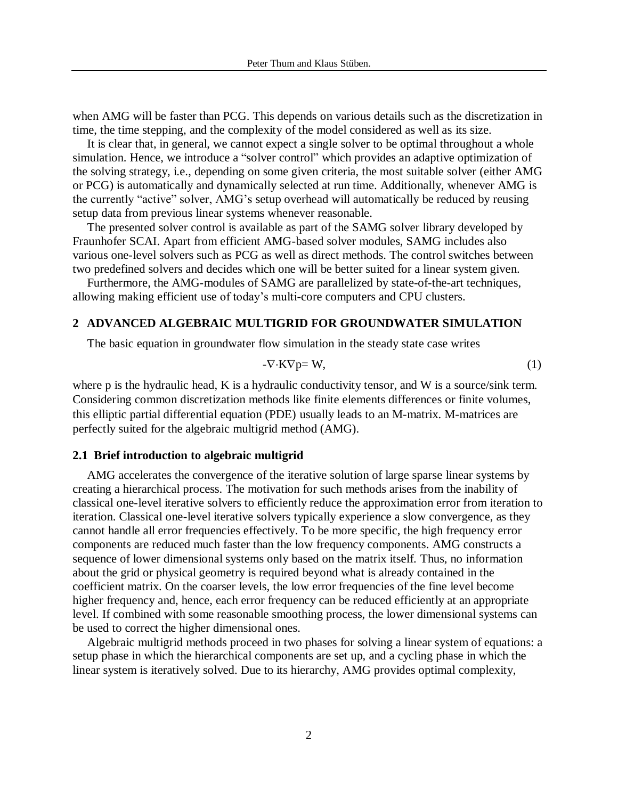when AMG will be faster than PCG. This depends on various details such as the discretization in time, the time stepping, and the complexity of the model considered as well as its size.

It is clear that, in general, we cannot expect a single solver to be optimal throughout a whole simulation. Hence, we introduce a "solver control" which provides an adaptive optimization of the solving strategy, i.e., depending on some given criteria, the most suitable solver (either AMG or PCG) is automatically and dynamically selected at run time. Additionally, whenever AMG is the currently "active" solver, AMG's setup overhead will automatically be reduced by reusing setup data from previous linear systems whenever reasonable.

The presented solver control is available as part of the SAMG solver library developed by Fraunhofer SCAI. Apart from efficient AMG-based solver modules, SAMG includes also various one-level solvers such as PCG as well as direct methods. The control switches between two predefined solvers and decides which one will be better suited for a linear system given.

Furthermore, the AMG-modules of SAMG are parallelized by state-of-the-art techniques, allowing making efficient use of today's multi-core computers and CPU clusters.

#### **2 ADVANCED ALGEBRAIC MULTIGRID FOR GROUNDWATER SIMULATION**

The basic equation in groundwater flow simulation in the steady state case writes

$$
-\nabla \cdot \mathbf{K} \nabla p = \mathbf{W},\tag{1}
$$

where p is the hydraulic head, K is a hydraulic conductivity tensor, and W is a source/sink term. Considering common discretization methods like finite elements differences or finite volumes, this elliptic partial differential equation (PDE) usually leads to an M-matrix. M-matrices are perfectly suited for the algebraic multigrid method (AMG).

#### **2.1 Brief introduction to algebraic multigrid**

AMG accelerates the convergence of the iterative solution of large sparse linear systems by creating a hierarchical process. The motivation for such methods arises from the inability of classical one-level iterative solvers to efficiently reduce the approximation error from iteration to iteration. Classical one-level iterative solvers typically experience a slow convergence, as they cannot handle all error frequencies effectively. To be more specific, the high frequency error components are reduced much faster than the low frequency components. AMG constructs a sequence of lower dimensional systems only based on the matrix itself. Thus, no information about the grid or physical geometry is required beyond what is already contained in the coefficient matrix. On the coarser levels, the low error frequencies of the fine level become higher frequency and, hence, each error frequency can be reduced efficiently at an appropriate level. If combined with some reasonable smoothing process, the lower dimensional systems can be used to correct the higher dimensional ones.

Algebraic multigrid methods proceed in two phases for solving a linear system of equations: a setup phase in which the hierarchical components are set up, and a cycling phase in which the linear system is iteratively solved. Due to its hierarchy, AMG provides optimal complexity,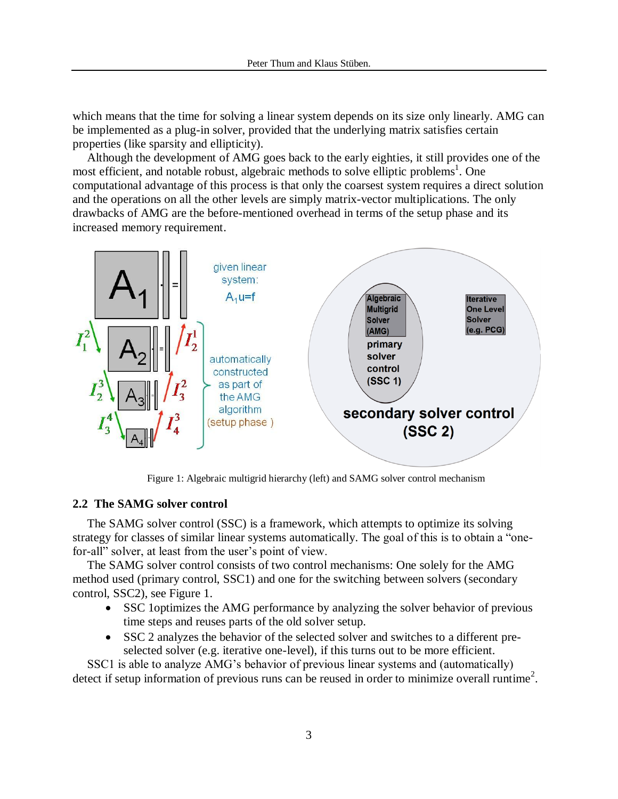which means that the time for solving a linear system depends on its size only linearly. AMG can be implemented as a plug-in solver, provided that the underlying matrix satisfies certain properties (like sparsity and ellipticity).

Although the development of AMG goes back to the early eighties, it still provides one of the most efficient, and notable robust, algebraic methods to solve elliptic problems<sup>1</sup>. One computational advantage of this process is that only the coarsest system requires a direct solution and the operations on all the other levels are simply matrix-vector multiplications. The only drawbacks of AMG are the before-mentioned overhead in terms of the setup phase and its increased memory requirement.



Figure 1: Algebraic multigrid hierarchy (left) and SAMG solver control mechanism

## **2.2 The SAMG solver control**

The SAMG solver control (SSC) is a framework, which attempts to optimize its solving strategy for classes of similar linear systems automatically. The goal of this is to obtain a "onefor-all" solver, at least from the user's point of view.

The SAMG solver control consists of two control mechanisms: One solely for the AMG method used (primary control, SSC1) and one for the switching between solvers (secondary control, SSC2), see Figure 1.

- SSC 1 optimizes the AMG performance by analyzing the solver behavior of previous time steps and reuses parts of the old solver setup.
- SSC 2 analyzes the behavior of the selected solver and switches to a different preselected solver (e.g. iterative one-level), if this turns out to be more efficient.

SSC1 is able to analyze AMG's behavior of previous linear systems and (automatically) detect if setup information of previous runs can be reused in order to minimize overall runtime<sup>2</sup>.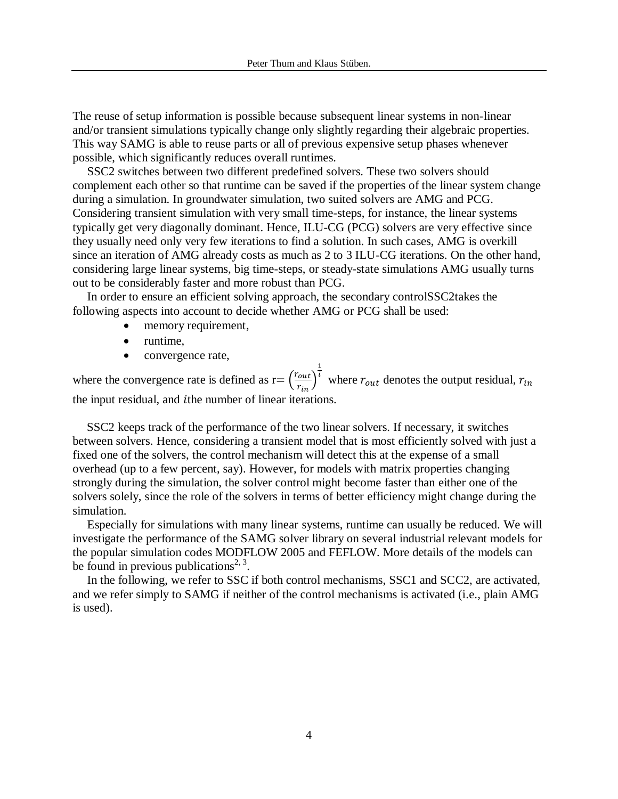The reuse of setup information is possible because subsequent linear systems in non-linear and/or transient simulations typically change only slightly regarding their algebraic properties. This way SAMG is able to reuse parts or all of previous expensive setup phases whenever possible, which significantly reduces overall runtimes.

SSC2 switches between two different predefined solvers. These two solvers should complement each other so that runtime can be saved if the properties of the linear system change during a simulation. In groundwater simulation, two suited solvers are AMG and PCG. Considering transient simulation with very small time-steps, for instance, the linear systems typically get very diagonally dominant. Hence, ILU-CG (PCG) solvers are very effective since they usually need only very few iterations to find a solution. In such cases, AMG is overkill since an iteration of AMG already costs as much as 2 to 3 ILU-CG iterations. On the other hand, considering large linear systems, big time-steps, or steady-state simulations AMG usually turns out to be considerably faster and more robust than PCG.

In order to ensure an efficient solving approach, the secondary controlSSC2takes the following aspects into account to decide whether AMG or PCG shall be used:

- memory requirement,
- runtime.
- convergence rate,

where the convergence rate is defined as  $r = \left(\frac{r}{r}\right)$  $\frac{out}{r_{in}}$  $\mathbf{1}$ where  $r_{out}$  denotes the output residual, the input residual, and the number of linear iterations.

SSC2 keeps track of the performance of the two linear solvers. If necessary, it switches between solvers. Hence, considering a transient model that is most efficiently solved with just a fixed one of the solvers, the control mechanism will detect this at the expense of a small overhead (up to a few percent, say). However, for models with matrix properties changing strongly during the simulation, the solver control might become faster than either one of the solvers solely, since the role of the solvers in terms of better efficiency might change during the simulation.

Especially for simulations with many linear systems, runtime can usually be reduced. We will investigate the performance of the SAMG solver library on several industrial relevant models for the popular simulation codes MODFLOW 2005 and FEFLOW. More details of the models can be found in previous publications<sup>2, 3</sup>.

In the following, we refer to SSC if both control mechanisms, SSC1 and SCC2, are activated, and we refer simply to SAMG if neither of the control mechanisms is activated (i.e., plain AMG is used).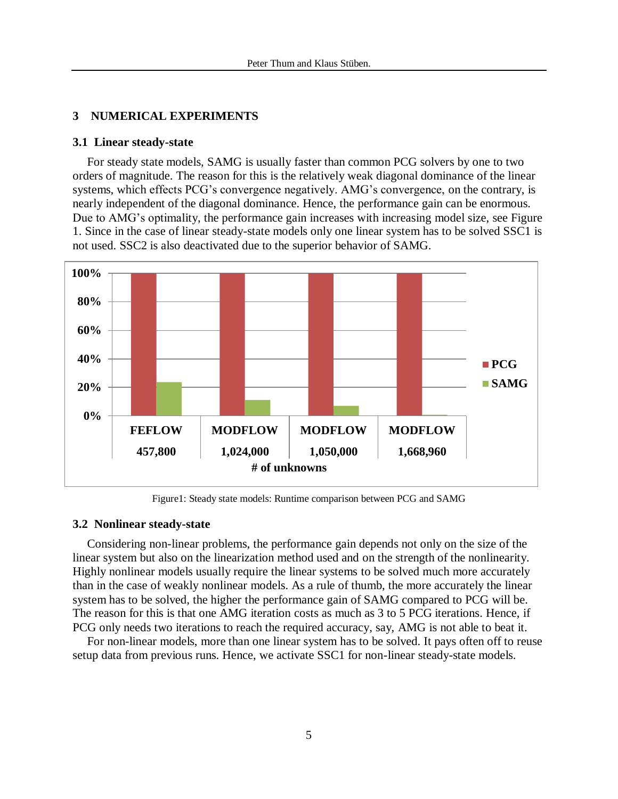## **3 NUMERICAL EXPERIMENTS**

#### **3.1 Linear steady-state**

For steady state models, SAMG is usually faster than common PCG solvers by one to two orders of magnitude. The reason for this is the relatively weak diagonal dominance of the linear systems, which effects PCG's convergence negatively. AMG's convergence, on the contrary, is nearly independent of the diagonal dominance. Hence, the performance gain can be enormous. Due to AMG's optimality, the performance gain increases with increasing model size, see Figure 1. Since in the case of linear steady-state models only one linear system has to be solved SSC1 is not used. SSC2 is also deactivated due to the superior behavior of SAMG.



Figure1: Steady state models: Runtime comparison between PCG and SAMG

#### **3.2 Nonlinear steady-state**

Considering non-linear problems, the performance gain depends not only on the size of the linear system but also on the linearization method used and on the strength of the nonlinearity. Highly nonlinear models usually require the linear systems to be solved much more accurately than in the case of weakly nonlinear models. As a rule of thumb, the more accurately the linear system has to be solved, the higher the performance gain of SAMG compared to PCG will be. The reason for this is that one AMG iteration costs as much as 3 to 5 PCG iterations. Hence, if PCG only needs two iterations to reach the required accuracy, say, AMG is not able to beat it.

For non-linear models, more than one linear system has to be solved. It pays often off to reuse setup data from previous runs. Hence, we activate SSC1 for non-linear steady-state models.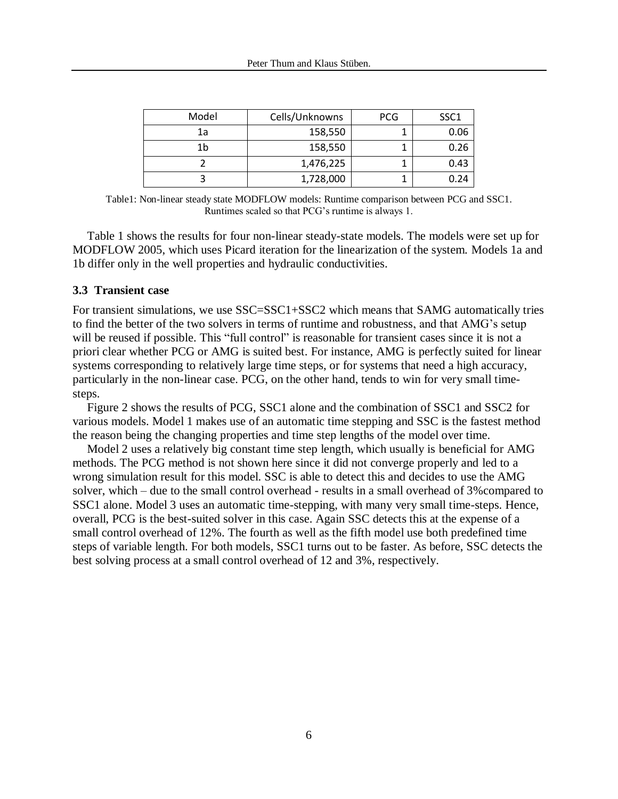| Model | Cells/Unknowns | <b>PCG</b> | SSC <sub>1</sub> |
|-------|----------------|------------|------------------|
| 1a    | 158,550        |            | 0.06             |
| 1b    | 158,550        |            | 0.26             |
|       | 1,476,225      |            | 0.43             |
|       | 1,728,000      |            | 0.24             |

Table1: Non-linear steady state MODFLOW models: Runtime comparison between PCG and SSC1. Runtimes scaled so that PCG's runtime is always 1.

Table 1 shows the results for four non-linear steady-state models. The models were set up for MODFLOW 2005, which uses Picard iteration for the linearization of the system. Models 1a and 1b differ only in the well properties and hydraulic conductivities.

### **3.3 Transient case**

For transient simulations, we use SSC=SSC1+SSC2 which means that SAMG automatically tries to find the better of the two solvers in terms of runtime and robustness, and that AMG's setup will be reused if possible. This "full control" is reasonable for transient cases since it is not a priori clear whether PCG or AMG is suited best. For instance, AMG is perfectly suited for linear systems corresponding to relatively large time steps, or for systems that need a high accuracy, particularly in the non-linear case. PCG, on the other hand, tends to win for very small timesteps.

Figure 2 shows the results of PCG, SSC1 alone and the combination of SSC1 and SSC2 for various models. Model 1 makes use of an automatic time stepping and SSC is the fastest method the reason being the changing properties and time step lengths of the model over time.

Model 2 uses a relatively big constant time step length, which usually is beneficial for AMG methods. The PCG method is not shown here since it did not converge properly and led to a wrong simulation result for this model. SSC is able to detect this and decides to use the AMG solver, which – due to the small control overhead - results in a small overhead of 3%compared to SSC1 alone. Model 3 uses an automatic time-stepping, with many very small time-steps. Hence, overall, PCG is the best-suited solver in this case. Again SSC detects this at the expense of a small control overhead of 12%. The fourth as well as the fifth model use both predefined time steps of variable length. For both models, SSC1 turns out to be faster. As before, SSC detects the best solving process at a small control overhead of 12 and 3%, respectively.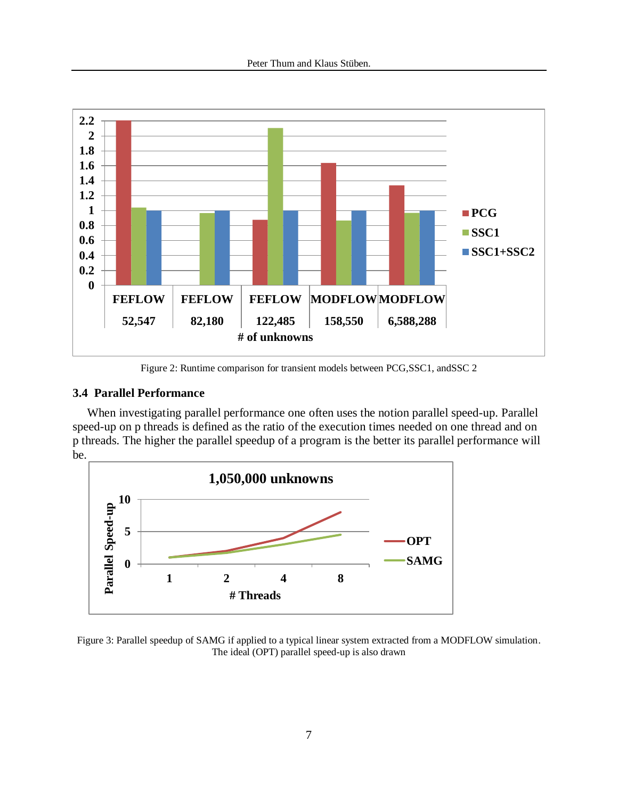

Figure 2: Runtime comparison for transient models between PCG,SSC1, andSSC 2

## **3.4 Parallel Performance**

When investigating parallel performance one often uses the notion parallel speed-up. Parallel speed-up on p threads is defined as the ratio of the execution times needed on one thread and on p threads. The higher the parallel speedup of a program is the better its parallel performance will be.



Figure 3: Parallel speedup of SAMG if applied to a typical linear system extracted from a MODFLOW simulation. The ideal (OPT) parallel speed-up is also drawn